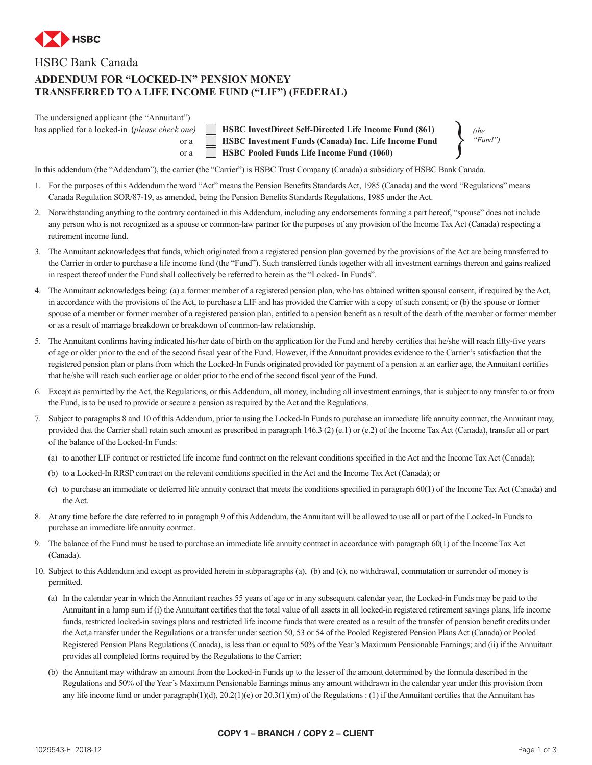

## HSBC Bank Canada

## **ADDENDUM FOR "LOCKED-IN" PENSION MONEY TRANSFERRED TO A LIFE INCOME FUND ("LIF") (FEDERAL)**

| The undersigned applicant (the "Annuitant")             |      |
|---------------------------------------------------------|------|
| has applied for a locked-in ( <i>please check one</i> ) |      |
|                                                         | or a |

**HSBC InvestDirect Self-Directed Life Income Fund (861) HSBC Investment Funds (Canada) Inc. Life Income Fund** or a **HSBC Pooled Funds Life Income Fund (1060)** 

*(the "Fund")*

In this addendum (the "Addendum"), the carrier (the "Carrier") is HSBC Trust Company (Canada) a subsidiary of HSBC Bank Canada.

- 1. For the purposes of this Addendum the word "Act" means the Pension Benefits Standards Act, 1985 (Canada) and the word "Regulations" means Canada Regulation SOR/87-19, as amended, being the Pension Benefits Standards Regulations, 1985 under the Act.
- 2. Notwithstanding anything to the contrary contained in this Addendum, including any endorsements forming a part hereof, "spouse" does not include any person who is not recognized as a spouse or common-law partner for the purposes of any provision of the Income Tax Act (Canada) respecting a retirement income fund.
- 3. The Annuitant acknowledges that funds, which originated from a registered pension plan governed by the provisions of the Act are being transferred to the Carrier in order to purchase a life income fund (the "Fund"). Such transferred funds together with all investment earnings thereon and gains realized in respect thereof under the Fund shall collectively be referred to herein as the "Locked- In Funds".
- 4. The Annuitant acknowledges being: (a) a former member of a registered pension plan, who has obtained written spousal consent, if required by the Act, in accordance with the provisions of the Act, to purchase a LIF and has provided the Carrier with a copy of such consent; or (b) the spouse or former spouse of a member or former member of a registered pension plan, entitled to a pension benefit as a result of the death of the member or former member or as a result of marriage breakdown or breakdown of common-law relationship.
- 5. The Annuitant confirms having indicated his/her date of birth on the application for the Fund and hereby certifies that he/she will reach fifty-five years of age or older prior to the end of the second fiscal year of the Fund. However, if the Annuitant provides evidence to the Carrier's satisfaction that the registered pension plan or plans from which the Locked-In Funds originated provided for payment of a pension at an earlier age, the Annuitant certifies that he/she will reach such earlier age or older prior to the end of the second fiscal year of the Fund.
- 6. Except as permitted by the Act, the Regulations, or this Addendum, all money, including all investment earnings, that is subject to any transfer to or from the Fund, is to be used to provide or secure a pension as required by the Act and the Regulations.
- 7. Subject to paragraphs 8 and 10 of this Addendum, prior to using the Locked-In Funds to purchase an immediate life annuity contract, the Annuitant may, provided that the Carrier shall retain such amount as prescribed in paragraph 146.3 (2) (e.1) or (e.2) of the Income Tax Act (Canada), transfer all or part of the balance of the Locked-In Funds:
	- (a) to another LIF contract or restricted life income fund contract on the relevant conditions specified in the Act and the Income Tax Act (Canada);
	- (b) to a Locked-In RRSP contract on the relevant conditions specified in the Act and the Income Tax Act (Canada); or
	- (c) to purchase an immediate or deferred life annuity contract that meets the conditions specified in paragraph 60(1) of the Income Tax Act (Canada) and the Act.
- 8. At any time before the date referred to in paragraph 9 of this Addendum, the Annuitant will be allowed to use all or part of the Locked-In Funds to purchase an immediate life annuity contract.
- 9. The balance of the Fund must be used to purchase an immediate life annuity contract in accordance with paragraph 60(1) of the Income Tax Act (Canada).
- 10. Subject to this Addendum and except as provided herein in subparagraphs (a), (b) and (c), no withdrawal, commutation or surrender of money is permitted.
	- (a) In the calendar year in which the Annuitant reaches 55 years of age or in any subsequent calendar year, the Locked-in Funds may be paid to the Annuitant in a lump sum if (i) the Annuitant certifies that the total value of all assets in all locked-in registered retirement savings plans, life income funds, restricted locked-in savings plans and restricted life income funds that were created as a result of the transfer of pension benefit credits under the Act,a transfer under the Regulations or a transfer under section 50, 53 or 54 of the Pooled Registered Pension Plans Act (Canada) or Pooled Registered Pension Plans Regulations (Canada), is less than or equal to 50% of the Year's Maximum Pensionable Earnings; and (ii) if the Annuitant provides all completed forms required by the Regulations to the Carrier;
	- (b) the Annuitant may withdraw an amount from the Locked-in Funds up to the lesser of the amount determined by the formula described in the Regulations and 50% of the Year's Maximum Pensionable Earnings minus any amount withdrawn in the calendar year under this provision from any life income fund or under paragraph(1)(d), 20.2(1)(e) or 20.3(1)(m) of the Regulations : (1) if the Annuitant certifies that the Annuitant has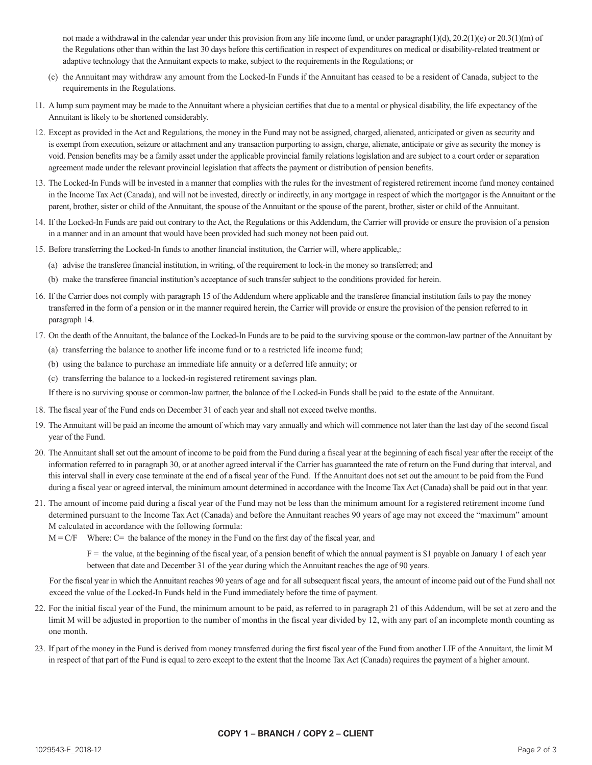not made a withdrawal in the calendar year under this provision from any life income fund, or under paragraph $(1)(d)$ , 20.2(1)(e) or 20.3(1)(m) of the Regulations other than within the last 30 days before this certification in respect of expenditures on medical or disability-related treatment or adaptive technology that the Annuitant expects to make, subject to the requirements in the Regulations; or

- (c) the Annuitant may withdraw any amount from the Locked-In Funds if the Annuitant has ceased to be a resident of Canada, subject to the requirements in the Regulations.
- 11. A lump sum payment may be made to the Annuitant where a physician certifies that due to a mental or physical disability, the life expectancy of the Annuitant is likely to be shortened considerably.
- 12. Except as provided in the Act and Regulations, the money in the Fund may not be assigned, charged, alienated, anticipated or given as security and is exempt from execution, seizure or attachment and any transaction purporting to assign, charge, alienate, anticipate or give as security the money is void. Pension benefits may be a family asset under the applicable provincial family relations legislation and are subject to a court order or separation agreement made under the relevant provincial legislation that affects the payment or distribution of pension benefits.
- 13. The Locked-In Funds will be invested in a manner that complies with the rules for the investment of registered retirement income fund money contained in the Income Tax Act (Canada), and will not be invested, directly or indirectly, in any mortgage in respect of which the mortgagor is the Annuitant or the parent, brother, sister or child of the Annuitant, the spouse of the Annuitant or the spouse of the parent, brother, sister or child of the Annuitant.
- 14. If the Locked-In Funds are paid out contrary to the Act, the Regulations or this Addendum, the Carrier will provide or ensure the provision of a pension in a manner and in an amount that would have been provided had such money not been paid out.
- 15. Before transferring the Locked-In funds to another financial institution, the Carrier will, where applicable,:
	- (a) advise the transferee financial institution, in writing, of the requirement to lock-in the money so transferred; and
	- (b) make the transferee financial institution's acceptance of such transfer subject to the conditions provided for herein.
- 16. If the Carrier does not comply with paragraph 15 of the Addendum where applicable and the transferee financial institution fails to pay the money transferred in the form of a pension or in the manner required herein, the Carrier will provide or ensure the provision of the pension referred to in paragraph 14.
- 17. On the death of the Annuitant, the balance of the Locked-In Funds are to be paid to the surviving spouse or the common-law partner of the Annuitant by
	- (a) transferring the balance to another life income fund or to a restricted life income fund;
	- (b) using the balance to purchase an immediate life annuity or a deferred life annuity; or
	- (c) transferring the balance to a locked-in registered retirement savings plan.

If there is no surviving spouse or common-law partner, the balance of the Locked-in Funds shall be paid to the estate of the Annuitant.

- 18. The fiscal year of the Fund ends on December 31 of each year and shall not exceed twelve months.
- 19. The Annuitant will be paid an income the amount of which may vary annually and which will commence not later than the last day of the second fiscal year of the Fund.
- 20. The Annuitant shall set out the amount of income to be paid from the Fund during a fiscal year at the beginning of each fiscal year after the receipt of the information referred to in paragraph 30, or at another agreed interval if the Carrier has guaranteed the rate of return on the Fund during that interval, and this interval shall in every case terminate at the end of a fiscal year of the Fund. If the Annuitant does not set out the amount to be paid from the Fund during a fiscal year or agreed interval, the minimum amount determined in accordance with the Income Tax Act (Canada) shall be paid out in that year.
- 21. The amount of income paid during a fiscal year of the Fund may not be less than the minimum amount for a registered retirement income fund determined pursuant to the Income Tax Act (Canada) and before the Annuitant reaches 90 years of age may not exceed the "maximum" amount M calculated in accordance with the following formula:
	- $M = C/F$  Where: C= the balance of the money in the Fund on the first day of the fiscal year, and

 $F =$  the value, at the beginning of the fiscal year, of a pension benefit of which the annual payment is \$1 payable on January 1 of each year between that date and December 31 of the year during which the Annuitant reaches the age of 90 years.

For the fiscal year in which the Annuitant reaches 90 years of age and for all subsequent fiscal years, the amount of income paid out of the Fund shall not exceed the value of the Locked-In Funds held in the Fund immediately before the time of payment.

- 22. For the initial fiscal year of the Fund, the minimum amount to be paid, as referred to in paragraph 21 of this Addendum, will be set at zero and the limit M will be adjusted in proportion to the number of months in the fiscal year divided by 12, with any part of an incomplete month counting as one month.
- 23. If part of the money in the Fund is derived from money transferred during the first fiscal year of the Fund from another LIF of the Annuitant, the limit M in respect of that part of the Fund is equal to zero except to the extent that the Income Tax Act (Canada) requires the payment of a higher amount.